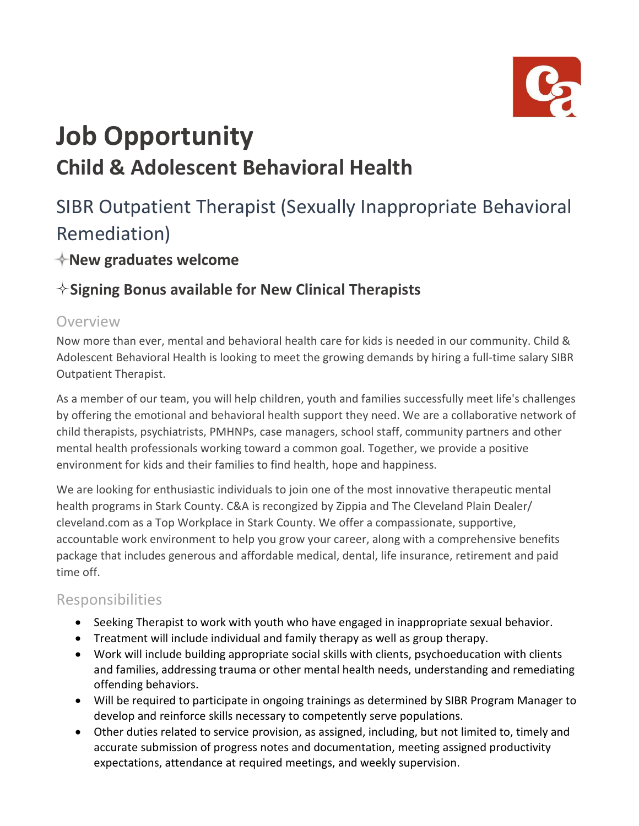

# **Job Opportunity Child & Adolescent Behavioral Health**

# SIBR Outpatient Therapist (Sexually Inappropriate Behavioral Remediation)

## **New graduates welcome**

# **Signing Bonus available for New Clinical Therapists**

#### Overview

Now more than ever, mental and behavioral health care for kids is needed in our community. Child & Adolescent Behavioral Health is looking to meet the growing demands by hiring a full-time salary SIBR Outpatient Therapist.

As a member of our team, you will help children, youth and families successfully meet life's challenges by offering the emotional and behavioral health support they need. We are a collaborative network of child therapists, psychiatrists, PMHNPs, case managers, school staff, community partners and other mental health professionals working toward a common goal. Together, we provide a positive environment for kids and their families to find health, hope and happiness.

We are looking for enthusiastic individuals to join one of the most innovative therapeutic mental health programs in Stark County. C&A is recongized by Zippia and The Cleveland Plain Dealer/ cleveland.com as a Top Workplace in Stark County. We offer a compassionate, supportive, accountable work environment to help you grow your career, along with a comprehensive benefits package that includes generous and affordable medical, dental, life insurance, retirement and paid time off.

#### Responsibilities

- Seeking Therapist to work with youth who have engaged in inappropriate sexual behavior.
- Treatment will include individual and family therapy as well as group therapy.
- Work will include building appropriate social skills with clients, psychoeducation with clients and families, addressing trauma or other mental health needs, understanding and remediating offending behaviors.
- Will be required to participate in ongoing trainings as determined by SIBR Program Manager to develop and reinforce skills necessary to competently serve populations.
- Other duties related to service provision, as assigned, including, but not limited to, timely and accurate submission of progress notes and documentation, meeting assigned productivity expectations, attendance at required meetings, and weekly supervision.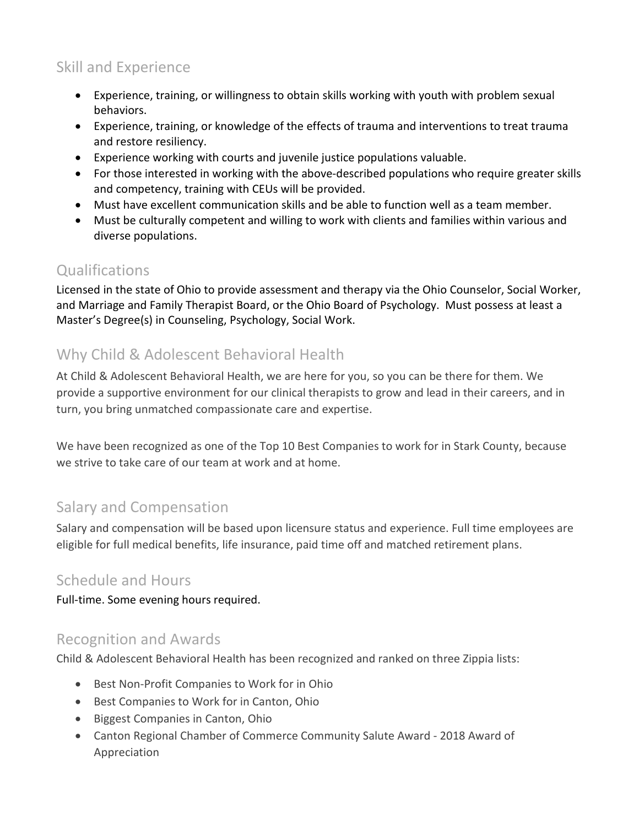### Skill and Experience

- Experience, training, or willingness to obtain skills working with youth with problem sexual behaviors.
- Experience, training, or knowledge of the effects of trauma and interventions to treat trauma and restore resiliency.
- Experience working with courts and juvenile justice populations valuable.
- For those interested in working with the above-described populations who require greater skills and competency, training with CEUs will be provided.
- Must have excellent communication skills and be able to function well as a team member.
- Must be culturally competent and willing to work with clients and families within various and diverse populations.

#### **Qualifications**

Licensed in the state of Ohio to provide assessment and therapy via the Ohio Counselor, Social Worker, and Marriage and Family Therapist Board, or the Ohio Board of Psychology. Must possess at least a Master's Degree(s) in Counseling, Psychology, Social Work.

#### Why Child & Adolescent Behavioral Health

At Child & Adolescent Behavioral Health, we are here for you, so you can be there for them. We provide a supportive environment for our clinical therapists to grow and lead in their careers, and in turn, you bring unmatched compassionate care and expertise.

We have been recognized as one of the Top 10 Best Companies to work for in Stark County, because we strive to take care of our team at work and at home.

#### Salary and Compensation

Salary and compensation will be based upon licensure status and experience. Full time employees are eligible for full medical benefits, life insurance, paid time off and matched retirement plans.

#### Schedule and Hours

Full-time. Some evening hours required.

#### Recognition and Awards

Child & Adolescent Behavioral Health has been recognized and ranked on three Zippia lists:

- Best Non-Profit Companies to Work for in Ohio
- Best Companies to Work for in Canton, Ohio
- Biggest Companies in Canton, Ohio
- Canton Regional Chamber of Commerce Community Salute Award 2018 Award of Appreciation